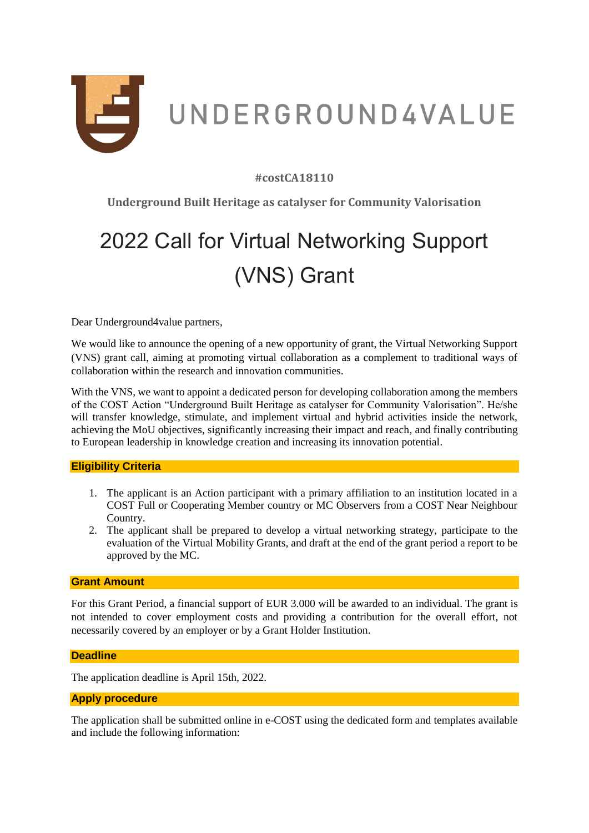

## **#costCA18110**

**Underground Built Heritage as catalyser for Community Valorisation**

# 2022 Call for Virtual Networking Support (VNS) Grant

Dear Underground4value partners,

We would like to announce the opening of a new opportunity of grant, the Virtual Networking Support (VNS) grant call, aiming at promoting virtual collaboration as a complement to traditional ways of collaboration within the research and innovation communities.

With the VNS, we want to appoint a dedicated person for developing collaboration among the members of the COST Action "Underground Built Heritage as catalyser for Community Valorisation". He/she will transfer knowledge, stimulate, and implement virtual and hybrid activities inside the network, achieving the MoU objectives, significantly increasing their impact and reach, and finally contributing to European leadership in knowledge creation and increasing its innovation potential.

## **Eligibility Criteria**

- 1. The applicant is an Action participant with a primary affiliation to an institution located in a COST Full or Cooperating Member country or MC Observers from a COST Near Neighbour Country.
- 2. The applicant shall be prepared to develop a virtual networking strategy, participate to the evaluation of the Virtual Mobility Grants, and draft at the end of the grant period a report to be approved by the MC.

## **Grant Amount**

For this Grant Period, a financial support of EUR 3.000 will be awarded to an individual. The grant is not intended to cover employment costs and providing a contribution for the overall effort, not necessarily covered by an employer or by a Grant Holder Institution.

#### **Deadline**

The application deadline is April 15th, 2022.

## **Apply procedure**

The application shall be submitted online in e-COST using the dedicated form and templates available and include the following information: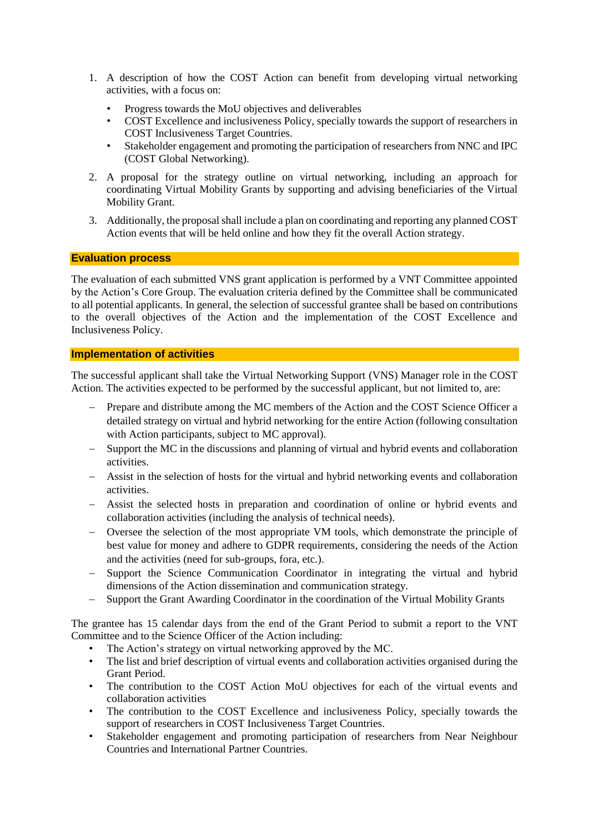- 1. A description of how the COST Action can benefit from developing virtual networking activities, with a focus on:
	- Progress towards the MoU objectives and deliverables
	- COST Excellence and inclusiveness Policy, specially towards the support of researchers in COST Inclusiveness Target Countries.
	- Stakeholder engagement and promoting the participation of researchers from NNC and IPC (COST Global Networking).
- 2. A proposal for the strategy outline on virtual networking, including an approach for coordinating Virtual Mobility Grants by supporting and advising beneficiaries of the Virtual Mobility Grant.
- 3. Additionally, the proposal shall include a plan on coordinating and reporting any planned COST Action events that will be held online and how they fit the overall Action strategy.

## **Evaluation process**

The evaluation of each submitted VNS grant application is performed by a VNT Committee appointed by the Action's Core Group. The evaluation criteria defined by the Committee shall be communicated to all potential applicants. In general, the selection of successful grantee shall be based on contributions to the overall objectives of the Action and the implementation of the COST Excellence and Inclusiveness Policy.

## **Implementation of activities**

The successful applicant shall take the Virtual Networking Support (VNS) Manager role in the COST Action. The activities expected to be performed by the successful applicant, but not limited to, are:

- Prepare and distribute among the MC members of the Action and the COST Science Officer a detailed strategy on virtual and hybrid networking for the entire Action (following consultation with Action participants, subject to MC approval).
- Support the MC in the discussions and planning of virtual and hybrid events and collaboration activities.
- Assist in the selection of hosts for the virtual and hybrid networking events and collaboration activities.
- Assist the selected hosts in preparation and coordination of online or hybrid events and collaboration activities (including the analysis of technical needs).
- Oversee the selection of the most appropriate VM tools, which demonstrate the principle of best value for money and adhere to GDPR requirements, considering the needs of the Action and the activities (need for sub-groups, fora, etc.).
- Support the Science Communication Coordinator in integrating the virtual and hybrid dimensions of the Action dissemination and communication strategy.
- Support the Grant Awarding Coordinator in the coordination of the Virtual Mobility Grants

The grantee has 15 calendar days from the end of the Grant Period to submit a report to the VNT Committee and to the Science Officer of the Action including:

- The Action's strategy on virtual networking approved by the MC.
- The list and brief description of virtual events and collaboration activities organised during the Grant Period.
- The contribution to the COST Action MoU objectives for each of the virtual events and collaboration activities
- The contribution to the COST Excellence and inclusiveness Policy, specially towards the support of researchers in COST Inclusiveness Target Countries.
- Stakeholder engagement and promoting participation of researchers from Near Neighbour Countries and International Partner Countries.